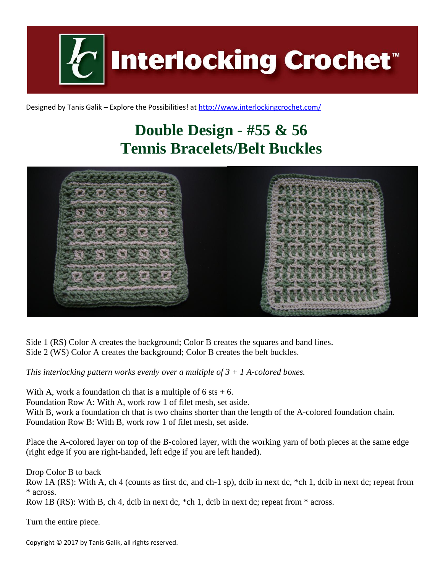

Designed by Tanis Galik – Explore the Possibilities! a[t http://www.interlockingcrochet.com/](http://www.interlockingcrochet.com/)

## **Double Design - #55 & 56 Tennis Bracelets/Belt Buckles**



Side 1 (RS) Color A creates the background; Color B creates the squares and band lines. Side 2 (WS) Color A creates the background; Color B creates the belt buckles.

*This interlocking pattern works evenly over a multiple of 3 + 1 A-colored boxes.*

With A, work a foundation ch that is a multiple of  $6$  sts  $+ 6$ . Foundation Row A: With A, work row 1 of filet mesh, set aside. With B, work a foundation ch that is two chains shorter than the length of the A-colored foundation chain. Foundation Row B: With B, work row 1 of filet mesh, set aside.

Place the A-colored layer on top of the B-colored layer, with the working yarn of both pieces at the same edge (right edge if you are right-handed, left edge if you are left handed).

Drop Color B to back

Row 1A (RS): With A, ch 4 (counts as first dc, and ch-1 sp), dcib in next dc, \*ch 1, dcib in next dc; repeat from \* across.

Row 1B (RS): With B, ch 4, dcib in next dc, \*ch 1, dcib in next dc; repeat from \* across.

Turn the entire piece.

Copyright © 2017 by Tanis Galik, all rights reserved.